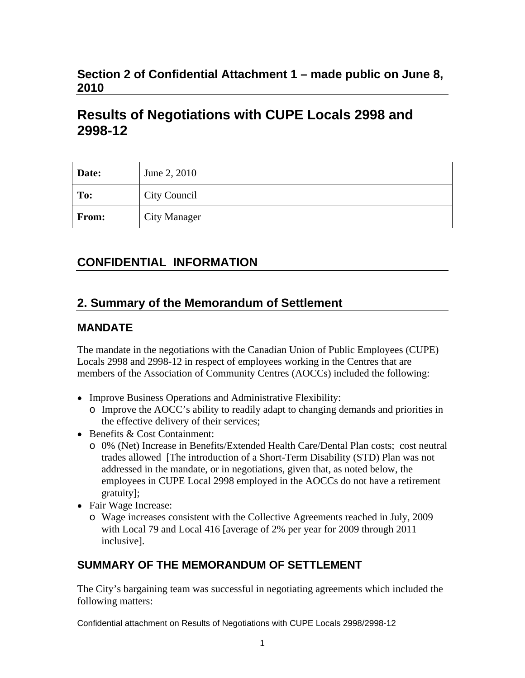## **Section 2 of Confidential Attachment 1 – made public on June 8, 2010**

# **Results of Negotiations with CUPE Locals 2998 and 2998-12**

| Date: | June 2, 2010        |
|-------|---------------------|
| To:   | City Council        |
| From: | <b>City Manager</b> |

# **CONFIDENTIAL INFORMATION**

## **2. Summary of the Memorandum of Settlement**

#### **MANDATE**

The mandate in the negotiations with the Canadian Union of Public Employees (CUPE) Locals 2998 and 2998-12 in respect of employees working in the Centres that are members of the Association of Community Centres (AOCCs) included the following:

- Improve Business Operations and Administrative Flexibility:
	- o Improve the AOCC's ability to readily adapt to changing demands and priorities in the effective delivery of their services;
- Benefits & Cost Containment:
	- o 0% (Net) Increase in Benefits/Extended Health Care/Dental Plan costs; cost neutral trades allowed [The introduction of a Short-Term Disability (STD) Plan was not addressed in the mandate, or in negotiations, given that, as noted below, the employees in CUPE Local 2998 employed in the AOCCs do not have a retirement gratuity];
- Fair Wage Increase:
	- o Wage increases consistent with the Collective Agreements reached in July, 2009 with Local 79 and Local 416 [average of 2% per year for 2009 through 2011 inclusive].

### **SUMMARY OF THE MEMORANDUM OF SETTLEMENT**

The City's bargaining team was successful in negotiating agreements which included the following matters:

Confidential attachment on Results of Negotiations with CUPE Locals 2998/2998-12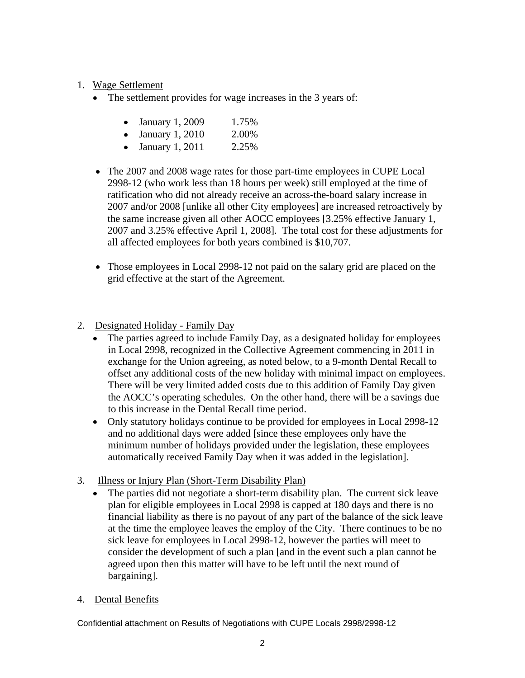#### 1. Wage Settlement

- The settlement provides for wage increases in the 3 years of:
	- January 1, 2009 1.75%
	- January 1, 2010 2.00%
	- January 1, 2011 2.25%
- The 2007 and 2008 wage rates for those part-time employees in CUPE Local 2998-12 (who work less than 18 hours per week) still employed at the time of ratification who did not already receive an across-the-board salary increase in 2007 and/or 2008 [unlike all other City employees] are increased retroactively by the same increase given all other AOCC employees [3.25% effective January 1, 2007 and 3.25% effective April 1, 2008]. The total cost for these adjustments for all affected employees for both years combined is \$10,707.
- Those employees in Local 2998-12 not paid on the salary grid are placed on the grid effective at the start of the Agreement.
- 2. Designated Holiday Family Day
	- The parties agreed to include Family Day, as a designated holiday for employees in Local 2998, recognized in the Collective Agreement commencing in 2011 in exchange for the Union agreeing, as noted below, to a 9-month Dental Recall to offset any additional costs of the new holiday with minimal impact on employees. There will be very limited added costs due to this addition of Family Day given the AOCC's operating schedules. On the other hand, there will be a savings due to this increase in the Dental Recall time period.
	- Only statutory holidays continue to be provided for employees in Local 2998-12 and no additional days were added [since these employees only have the minimum number of holidays provided under the legislation, these employees automatically received Family Day when it was added in the legislation].
- 3. Illness or Injury Plan (Short-Term Disability Plan)
	- The parties did not negotiate a short-term disability plan. The current sick leave plan for eligible employees in Local 2998 is capped at 180 days and there is no financial liability as there is no payout of any part of the balance of the sick leave at the time the employee leaves the employ of the City. There continues to be no sick leave for employees in Local 2998-12, however the parties will meet to consider the development of such a plan [and in the event such a plan cannot be agreed upon then this matter will have to be left until the next round of bargaining].
- 4. Dental Benefits

Confidential attachment on Results of Negotiations with CUPE Locals 2998/2998-12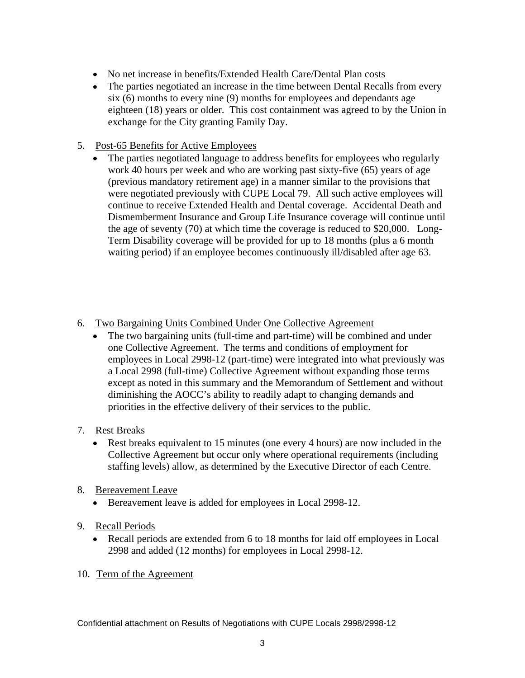- No net increase in benefits/Extended Health Care/Dental Plan costs
- The parties negotiated an increase in the time between Dental Recalls from every six (6) months to every nine (9) months for employees and dependants age eighteen (18) years or older. This cost containment was agreed to by the Union in exchange for the City granting Family Day.

#### 5. Post-65 Benefits for Active Employees

- The parties negotiated language to address benefits for employees who regularly work 40 hours per week and who are working past sixty-five (65) years of age (previous mandatory retirement age) in a manner similar to the provisions that were negotiated previously with CUPE Local 79. All such active employees will continue to receive Extended Health and Dental coverage. Accidental Death and Dismemberment Insurance and Group Life Insurance coverage will continue until the age of seventy (70) at which time the coverage is reduced to \$20,000. Long- Term Disability coverage will be provided for up to 18 months (plus a 6 month waiting period) if an employee becomes continuously ill/disabled after age 63.
- 6. Two Bargaining Units Combined Under One Collective Agreement
	- The two bargaining units (full-time and part-time) will be combined and under one Collective Agreement. The terms and conditions of employment for employees in Local 2998-12 (part-time) were integrated into what previously was a Local 2998 (full-time) Collective Agreement without expanding those terms except as noted in this summary and the Memorandum of Settlement and without diminishing the AOCC's ability to readily adapt to changing demands and priorities in the effective delivery of their services to the public.
- 7. Rest Breaks
	- Rest breaks equivalent to 15 minutes (one every 4 hours) are now included in the Collective Agreement but occur only where operational requirements (including staffing levels) allow, as determined by the Executive Director of each Centre.
- 8. Bereavement Leave
	- Bereavement leave is added for employees in Local 2998-12.
- 9. Recall Periods
	- Recall periods are extended from 6 to 18 months for laid off employees in Local 2998 and added (12 months) for employees in Local 2998-12.
- 10. Term of the Agreement

Confidential attachment on Results of Negotiations with CUPE Locals 2998/2998-12